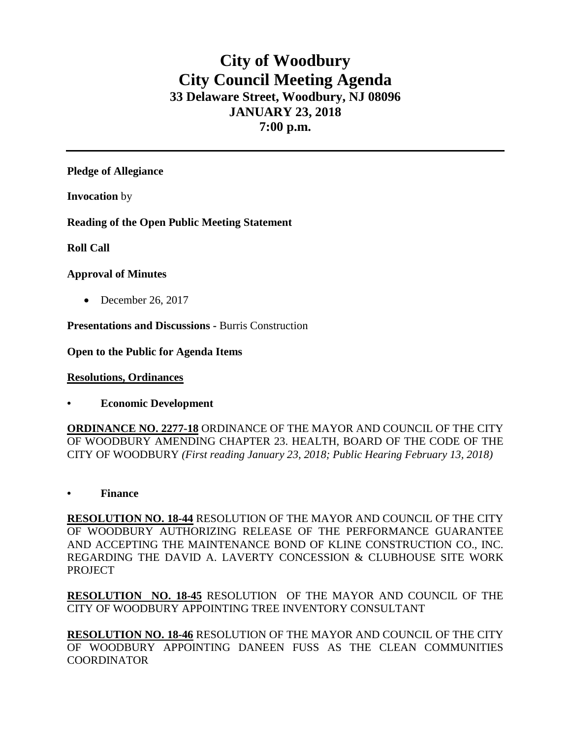# **City of Woodbury City Council Meeting Agenda 33 Delaware Street, Woodbury, NJ 08096 JANUARY 23, 2018 7:00 p.m.**

**Pledge of Allegiance**

**Invocation** by

**Reading of the Open Public Meeting Statement**

**Roll Call**

### **Approval of Minutes**

• December 26, 2017

**Presentations and Discussions -** Burris Construction

**Open to the Public for Agenda Items**

**Resolutions, Ordinances**

**• Economic Development**

**ORDINANCE NO. 2277-18** ORDINANCE OF THE MAYOR AND COUNCIL OF THE CITY OF WOODBURY AMENDING CHAPTER 23. HEALTH, BOARD OF THE CODE OF THE CITY OF WOODBURY *(First reading January 23, 2018; Public Hearing February 13, 2018)*

**• Finance** 

**RESOLUTION NO. 18-44** RESOLUTION OF THE MAYOR AND COUNCIL OF THE CITY OF WOODBURY AUTHORIZING RELEASE OF THE PERFORMANCE GUARANTEE AND ACCEPTING THE MAINTENANCE BOND OF KLINE CONSTRUCTION CO., INC. REGARDING THE DAVID A. LAVERTY CONCESSION & CLUBHOUSE SITE WORK PROJECT

**RESOLUTION NO. 18-45** RESOLUTION OF THE MAYOR AND COUNCIL OF THE CITY OF WOODBURY APPOINTING TREE INVENTORY CONSULTANT

**RESOLUTION NO. 18-46** RESOLUTION OF THE MAYOR AND COUNCIL OF THE CITY OF WOODBURY APPOINTING DANEEN FUSS AS THE CLEAN COMMUNITIES COORDINATOR